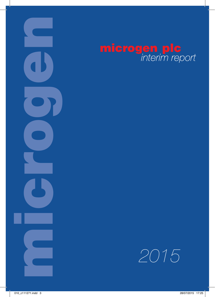

# microgen plc<br>interim report

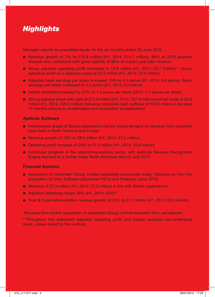# *Highlights*

Microgen reports its unaudited results for the six months ended 30 June 2015.

- $\bullet$  Revenue growth of 7% to £15.8 million (H1, 2014: £14.7 million). 88% of 2015 planned revenue now contracted with good visibility of 98% of current year plan revenue\*
- **•** Group adjusted operating profit increased to £3.9 million (H1, 2014: £3.7 million)\*\*. Group operating profit on a statutory basis of £3.9 million (H1, 2014: £3.3 million)
- l Adjusted basic earnings per share increased 19% to 4.3 pence (H1, 2014: 3.6 pence). Basic earnings per share increased to 4.2 pence (H1, 2014: 3.2 pence)
- $\bullet$  Interim dividend increased by 27% to 1.4 pence per share (2014: 1.1 pence per share)
- Strong balance sheet with cash of £15.6 million (H1, 2014: £37.9 million) and net funds of £0.9 million (H1, 2014: £20.2 million) following corporate cash outflows of £23.6 million in the past 12 months (returns to shareholders and acquisition consideration)

#### **Aptitude Software**

- **•** Performance ahead of Board expectations led by strong demand for services from customer base both in North America and Europe
- **e** Revenue growth of 13% to £8.5 million (H1, 2014: £7.6 million)
- Operating profit increase of 25% to £1.0 million (H1, 2014: £0.8 million)
- **•** Continued progress in the telecommunications sector with Aptitude Revenue Recognition Engine licensed to a further major North American telco in July 2015

#### **Financial Systems**

- **.** Acquisition of Jobstream Group Limited separately announced today, following on from the acquisition of Unity Software (December 2014) and Finalysys (June 2015)
- Revenue of £7.3 million (H1, 2014: £7.2 million) in line with Board expectations
- $\bullet$  Adjusted operating margin 49% (H1, 2014: 50%)\*\*
- **•** Trust & Fund Administration revenue growth of 20% to £2.7 million (H1, 2014: £2.3 million)

\*Revenue from recent acquisition of Jobstream Group Limited excluded from calculations

\*\*Throughout this statement adjusted operating profit and margin excludes non-underlying items, unless stated to the contrary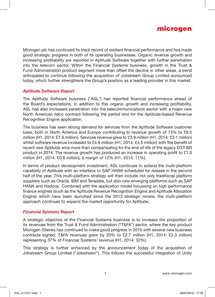

Microgen plc has continued its track record of resilient financial performance and has made good strategic progress in both of its operating businesses. Organic revenue growth and increasing profitability are reported in Aptitude Software together with further penetration into the telecom sector. Within the Financial Systems business, growth in the Trust & Fund Administration product segment more than offset the decline in other areas, a trend anticipated to continue following the acquisition of Jobstream Group Limited announced today, which further strengthens the Group's position as a leading provider in this market.

### *Aptitude Software Report*

The Aptitude Software business ("ASL") has reported financial performance ahead of the Board's expectations. In addition to this organic growth and increasing profitability, ASL has also increased penetration into the telecommunications sector with a major new North American telco contract following the period end for the Aptitude-based Revenue Recognition Engine application.

The business has seen strong demand for services from the Aptitude Software customer base, both in North America and Europe contributing to revenue growth of 13% to £8.5 million (H1, 2014: £7.6 million). Services revenue grew to £3.9 million (H1, 2014: £3.1 million) whilst software revenue increased to £4.6 million (H1, 2014: £4.5 million) with the benefit of recent new Aptitude wins more than compensating for the end-of-life of the legacy OST-BR product in 2014. The revenue growth has produced an increase in operating profit to £1.0 million (H1, 2014: £0.8 million), a margin of 12% (H1, 2014: 11%).

In terms of product development investment, ASL continues to extend the multi-platform capability of Aptitude with an interface to SAP HANA scheduled for release in the second half of the year. This multi-platform strategy will then include not only traditional platform suppliers such as Oracle, IBM and Teradata, but also new emerging platforms such as SAP HANA and Hadoop. Combined with the application model focussing on high performance finance engines (such as the Aptitude Revenue Recognition Engine and Aptitude Allocation Engine) which have been launched since the 2013 strategic review, the multi-platform approach continues to expand the market opportunity for Aptitude.

### *Financial Systems Report*

A strategic objective of the Financial Systems business is to increase the proportion of its revenues from the Trust & Fund Administration ("T&FA") sector, where the key product Microgen 5Series has continued to make good progress in 2015 with several new business contracts signed. T&FA revenues grew by 20% to £2.7 million (H1, 2014: £2.3 million) representing 37% of Financial Systems' revenue (H1, 2014: 32%).

This strategy is further enhanced by the announcement today of the acquisition of Jobstream Group Limited ("Jobstream"). This follows the successful integration of Unity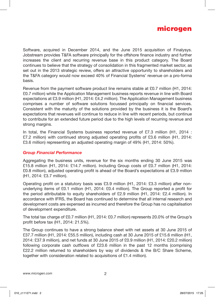

Software, acquired in December 2014, and the June 2015 acquisition of Finalysys. Jobstream provides T&FA software principally for the offshore finance industry and further increases the client and recurring revenue base in this product category. The Board continues to believe that the strategy of consolidation in this fragmented market sector, as set out in the 2013 strategic review, offers an attractive opportunity to shareholders and the T&FA category would now exceed 40% of Financial Systems' revenue on a pro-forma basis.

Revenue from the payment software product line remains stable at £0.7 million (H1, 2014: £0.7 million) while the Application Management business reports revenue in line with Board expectations at £3.9 million (H1, 2014: £4.2 million). The Application Management business comprises a number of software solutions focussed principally on financial services. Consistent with the maturity of the solutions provided by the business it is the Board's expectations that revenues will continue to reduce in line with recent periods, but continue to contribute for an extended future period due to the high levels of recurring revenue and strong margins.

In total, the Financial Systems business reported revenue of £7.3 million (H1, 2014 : £7.2 million) with continued strong adjusted operating profits of £3.6 million (H1, 2014: £3.6 million) representing an adjusted operating margin of 49% (H1, 2014: 50%).

#### *Group Financial Performance*

Aggregating the business units, revenue for the six months ending 30 June 2015 was £15.8 million (H1, 2014: £14.7 million). Including Group costs of £0.7 million (H1, 2014: £0.8 million), adjusted operating profit is ahead of the Board's expectations at £3.9 million (H1, 2014: £3.7 million).

Operating profit on a statutory basis was £3.9 million (H1, 2014: £3.3 million) after nonunderlying items of £0.1 million (H1, 2014: £0.4 million). The Group reported a profit for the period attributable to equity shareholders of £2.9 million (H1, 2014: £2.4 million). In accordance with IFRS, the Board has continued to determine that all internal research and development costs are expensed as incurred and therefore the Group has no capitalisation of development expenditure.

The total tax charge of £0.7 million (H1, 2014: £0.7 million) represents 20.0% of the Group's profit before tax (H1, 2014: 21.5%).

The Group continues to have a strong balance sheet with net assets at 30 June 2015 of £37.7 million (H1, 2014: £55.5 million), including cash at 30 June 2015 of £15.6 million (H1, 2014: £37.9 million), and net funds at 30 June 2015 of £0.9 million (H1, 2014: £20.2 million) following corporate cash outflows of £23.6 million in the past 12 months (comprising £22.2 million returned to shareholders by way of dividends & the B/C Share Scheme, together with consideration related to acquisitions of £1.4 million).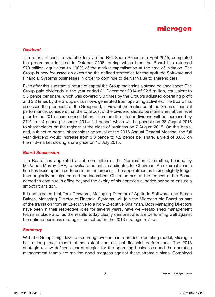

#### *Dividend*

The return of cash to shareholders via the B/C Share Scheme in April 2015, completed the programme initiated in October 2008, during which time the Board has returned £70 million, equivalent to 190% of the market capitalisation at the time of initiation. The Group is now focussed on executing the defined strategies for the Aptitude Software and Financial Systems businesses in order to continue to deliver value to shareholders.

Even after this substantial return of capital the Group maintains a strong balance sheet. The Group paid dividends in the year ended 31 December 2014 of £2.5 million, equivalent to 3.3 pence per share, which was covered 3.0 times by the Group's adjusted operating profit and 3.2 times by the Group's cash flows generated from operating activities. The Board has assessed the prospects of the Group and, in view of the resilience of the Group's financial performance, considers that the total cost of the dividend should be maintained at the level prior to the 2015 share consolidation. Therefore the interim dividend will be increased by 27% to 1.4 pence per share (2014: 1.1 pence) which will be payable on 28 August 2015 to shareholders on the register at the close of business on 7 August 2015. On this basis, and, subject to normal shareholder approval at the 2016 Annual General Meeting, the full year dividend would increase from 3.3 pence to 4.2 pence per share, a yield of 3.8% on the mid-market closing share price on 15 July 2015.

#### *Board Succession*

The Board has appointed a sub-committee of the Nomination Committee, headed by Ms Vanda Murray OBE, to evaluate potential candidates for Chairman. An external search firm has been appointed to assist in the process. The appointment is taking slightly longer than originally anticipated and the incumbent Chairman has, at the request of the Board, agreed to continue in office beyond the expiry of his contractual notice period to ensure a smooth transition.

It is anticipated that Tom Crawford, Managing Director of Aptitude Software, and Simon Baines, Managing Director of Financial Systems, will join the Microgen plc Board as part of the transition from an Executive to a Non-Executive Chairman. Both Managing Directors have been in their respective roles for several years, have well–established management teams in place and, as the results today clearly demonstrate, are performing well against the defined business strategies, as set out in the 2013 strategic review.

#### *Summary*

With the Group's high level of recurring revenue and a prudent operating model, Microgen has a long track record of consistent and resilient financial performance. The 2013 strategic review defined clear strategies for the operating businesses and the operating management teams are making good progress against these strategic plans. Combined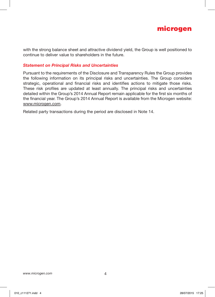

with the strong balance sheet and attractive dividend yield, the Group is well positioned to continue to deliver value to shareholders in the future.

### *Statement on Principal Risks and Uncertainties*

Pursuant to the requirements of the Disclosure and Transparency Rules the Group provides the following information on its principal risks and uncertainties. The Group considers strategic, operational and financial risks and identifies actions to mitigate those risks. These risk profiles are updated at least annually. The principal risks and uncertainties detailed within the Group's 2014 Annual Report remain applicable for the first six months of the financial year. The Group's 2014 Annual Report is available from the Microgen website: www.microgen.com.

Related party transactions during the period are disclosed in Note 14.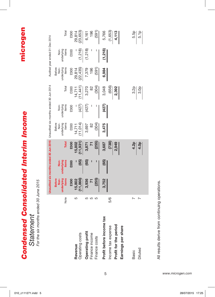|                                                                                               |              |                                              | Unaudited six months ended 30 Jun 2015 Unaudited six months ended 30 Jun 2014 |                             |                                       |                             |                                          |                                              | Audited year ended 31 Dec 2014 |                                    |
|-----------------------------------------------------------------------------------------------|--------------|----------------------------------------------|-------------------------------------------------------------------------------|-----------------------------|---------------------------------------|-----------------------------|------------------------------------------|----------------------------------------------|--------------------------------|------------------------------------|
|                                                                                               | Note         | items<br><b>Before</b><br>underlying<br>Non- | items<br>غ<br>R<br><b>underlying</b>                                          | Total                       | Before<br>underlying<br>items<br>Non- | items<br>underlying<br>non- | Total                                    | items<br><b>Before</b><br>underlying<br>Non- | items<br>underlying<br>Non-    | Total                              |
| Operating costs<br>Revenue                                                                    | 5            | (11, 866)<br>£000<br>15,802                  | (65)<br>£000                                                                  | (11, 931)<br>£000<br>15,802 | (11,014)<br><b>EOOO</b><br>14,711     | (427)<br><b>EOOO</b>        | $(14, 711$<br>$(11, 441)$<br><b>EOOO</b> | (22, 435)<br><b>EOOO</b><br>29,814           | (1,218)<br><b>EOOO</b>         | (23, 653)<br><b>£000</b><br>29,814 |
| Operating profit<br>Finance income<br>Finance costs                                           | 5<br>ഥ<br>LO | (255)<br>3,936                               | (65)                                                                          | (255)<br>3,871              | (304)<br>3,697<br>$\approx$           | (427)                       | 3,270<br>(304)<br>8                      | 7,379<br>196<br>(591)                        | (1,218)                        | 196<br>6,161<br>(591)              |
| Profit before income tax<br>Profit for the period<br>Income tax expense<br>Earnings per share | 5/6          | 3,752                                        | (65)                                                                          | (138)<br>3,687<br>2,949     | 3,475                                 | (427)                       | (656)<br>3,048<br>2,392                  | 6,984                                        | (1,218)                        | $\frac{(1,653)}{4,113}$<br>5,766   |
| Diluted<br>Basic                                                                              |              |                                              |                                                                               | $\frac{4.2p}{4.0p}$         |                                       |                             | $rac{2}{3}$                              |                                              |                                | 5.5p<br>5.1p                       |

*Condensed Consolidated Interim Income*

**Condensed Consolidated Interim Income** 

microgen

*Statement*

*For the six months ended 30 June 2015*

Statement<br>For the six months ended 30 June 2015

All results derive from continuing operations. All results derive from continuing operations.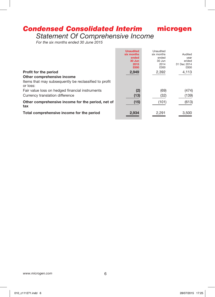# *Condensed Consolidated Interim*

*Statement Of Comprehensive Income*

*For the six months ended 30 June 2015*

|                                                                   | <b>Unaudited</b><br>six months<br>ended<br>30 Jun<br>2015<br>£000 | Unaudited<br>six months<br>ended<br>30 Jun<br>2014<br>£000 | Audited<br>year<br>ended<br>31 Dec 2014<br>£000 |
|-------------------------------------------------------------------|-------------------------------------------------------------------|------------------------------------------------------------|-------------------------------------------------|
| <b>Profit for the period</b>                                      | 2,949                                                             | 2,392                                                      | 4,113                                           |
| Other comprehensive income                                        |                                                                   |                                                            |                                                 |
| Items that may subsequently be reclassified to profit<br>or loss: |                                                                   |                                                            |                                                 |
| Fair value loss on hedged financial instruments                   | (2)                                                               | (69)                                                       | (474)                                           |
| Currency translation difference                                   | (13)                                                              | (32)                                                       | (139)                                           |
| Other comprehensive income for the period, net of<br>tax          | (15)                                                              | (101)                                                      | (613)                                           |
| Total comprehensive income for the period                         | 2.934                                                             | 2,291                                                      | 3,500                                           |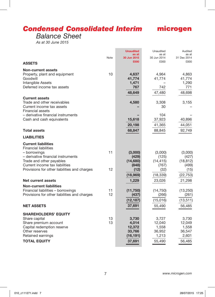# *Condensed Consolidated Interim*

# microgen

# *Balance Sheet*

*As at 30 June 2015*

| <b>ASSETS</b>                                                                                                             | Note     | <b>Unaudited</b><br>as at<br>30 Jun 2015<br>£000 | Unaudited<br>as at<br>30 Jun 2014<br>£000 | Audited<br>as at<br>31 Dec 2014<br>£000 |
|---------------------------------------------------------------------------------------------------------------------------|----------|--------------------------------------------------|-------------------------------------------|-----------------------------------------|
|                                                                                                                           |          |                                                  |                                           |                                         |
| <b>Non-current assets</b><br>Property, plant and equipment<br>Goodwill<br>Intangible Assets<br>Deferred income tax assets | 10       | 4,637<br>41,774<br>1,471<br>767                  | 4,964<br>41,774<br>742                    | 4,863<br>41,774<br>1,290<br>771         |
|                                                                                                                           |          | 48,649                                           | 47,480                                    | 48,698                                  |
| <b>Current assets</b><br>Trade and other receivables<br>Current income tax assets<br>Financial assets                     |          | 4,580                                            | 3,308<br>30                               | 3,155                                   |
| – derivative financial instruments<br>Cash and cash equivalents                                                           |          | 15,618                                           | 104<br>37,923                             | 40,896                                  |
|                                                                                                                           |          | 20,198                                           | 41,365                                    | 44,051                                  |
| <b>Total assets</b>                                                                                                       |          | 68,847                                           | 88,845                                    | 92,749                                  |
| <b>LIABILITIES</b>                                                                                                        |          |                                                  |                                           |                                         |
| <b>Current liabilities</b><br><b>Financial liabilities</b><br>- borrowings<br>- derivative financial instruments          | 11       | (3,000)<br>(429)                                 | (3,000)<br>(125)                          | (3,000)<br>(427)                        |
| Trade and other payables<br>Current income tax liabilities<br>Provisions for other liabilities and charges                | 12       | (14,680)<br>(848)<br>(12)                        | (14, 415)<br>(767)<br>(32)                | (18, 812)<br>(499)<br>(15)              |
| Net current assets                                                                                                        |          | (18,969)<br>1,229                                | (18, 339)<br>23,026                       | (22,753)<br>21,298                      |
| <b>Non-current liabilities</b><br>Financial liabilities - borrowings<br>Provisions for other liabilities and charges      | 11<br>12 | (11,750)<br>(437)<br>(12, 187)                   | (14, 750)<br>(266)<br>(15,016)            | (13, 250)<br>(261)<br>(13, 511)         |
| <b>NET ASSETS</b>                                                                                                         |          | 37,691                                           | 55,490                                    | 56,485                                  |
| <b>SHAREHOLDERS' EQUITY</b>                                                                                               |          |                                                  |                                           |                                         |
| Share capital<br>Share premium account<br>Capital redemption reserve<br>Other reserves                                    | 13<br>13 | 3,730<br>4,014<br>12,372<br>33,766               | 3,727<br>12,040<br>1,558<br>36,952        | 3,730<br>12,049<br>1,558<br>36,547      |
| Retained earnings<br><b>TOTAL EQUITY</b>                                                                                  |          | (16, 191)<br>37,691                              | 1,213<br>55,490                           | 2,601<br>56,485                         |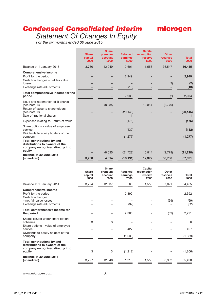# *Condensed Consolidated Interim Statement Of Changes In Equity*

# microgen

*For the six months ended 30 June 2015*

|                                                                                                            | <b>Share</b><br>capital<br>£000 | <b>Share</b><br>premium<br>account<br>£000 | <b>Retained</b><br>earnings<br>£000 | <b>Capital</b><br>redemption<br>reserve<br><b>£000</b> | <b>Other</b><br>reserves<br>£000 | <b>Total</b><br>£000 |
|------------------------------------------------------------------------------------------------------------|---------------------------------|--------------------------------------------|-------------------------------------|--------------------------------------------------------|----------------------------------|----------------------|
| Balance at 1 January 2015                                                                                  | 3,730                           | 12,049                                     | 2,601                               | 1,558                                                  | 36,547                           | 56,485               |
| <b>Comprehensive income</b><br>Profit for the period<br>Cash flow hedges - net fair value<br>losses        |                                 |                                            | 2,949                               |                                                        | (2)                              | 2,949<br>(2)         |
| Exchange rate adjustments                                                                                  |                                 |                                            | (13)                                |                                                        |                                  | (13)                 |
| Total comprehensive income for the<br>period                                                               |                                 |                                            | 2,936                               |                                                        | (2)                              | 2,934                |
| Issue and redemption of B shares<br>(see note 13)<br>Return of value to shareholders<br>(see note 13)      |                                 | (8,035)                                    | (20, 145)                           | 10,814                                                 | (2, 779)                         | (20, 145)            |
| Sale of fractional shares                                                                                  |                                 |                                            | 1                                   |                                                        |                                  |                      |
| Expenses relating to Return of Value                                                                       |                                 |                                            | (175)                               |                                                        |                                  | (175)                |
| Share options - value of employee<br>service<br>Dividends to equity holders of the                         |                                 |                                            | (132)                               |                                                        |                                  | (132)                |
| company                                                                                                    |                                 |                                            | (1, 277)                            |                                                        |                                  | (1, 277)             |
| Total contributions by and<br>distributions to owners of the<br>company recognised directly into<br>equity |                                 |                                            |                                     |                                                        |                                  |                      |
| Balance at 30 June 2015                                                                                    |                                 | (8,035)                                    | (21, 728)                           | 10,814                                                 | (2,779)                          | (21, 728)            |
| (unaudited)                                                                                                | 3,730                           | 4,014                                      | (16, 191)                           | 12,372                                                 | 33,766                           | 37,691               |
|                                                                                                            |                                 |                                            |                                     |                                                        |                                  |                      |
|                                                                                                            | Share<br>capital<br>£000        | Share<br>premium<br>account<br>£000        | Retained<br>earnings<br>£000        | Capital<br>redemption<br>reserve<br>£000               | Other<br>reserves<br>£000        | Total<br>£000        |
| Balance at 1 January 2014                                                                                  | 3,724                           | 12,037                                     | 65                                  | 1,558                                                  | 37,021                           | 54,405               |
| Comprehensive income<br>Profit for the period                                                              |                                 |                                            | 2,392                               |                                                        |                                  | 2,392                |
| Cash flow hedges<br>- net fair value losses                                                                |                                 |                                            |                                     |                                                        | (69)                             | (69)                 |
| Exchange rate adjustments                                                                                  |                                 |                                            | (32)                                |                                                        |                                  | (32)                 |
| Total comprehensive income for<br>the period                                                               |                                 |                                            | 2,360                               |                                                        | (69)                             | 2,291                |
| Shares issued under share option<br>schemes                                                                | 3                               | 3                                          |                                     |                                                        |                                  | 6                    |
| Share options - value of employee<br>service                                                               |                                 |                                            | 427                                 |                                                        |                                  | 427                  |
| Dividends to equity holders of the<br>company                                                              |                                 |                                            | (1,639)                             |                                                        |                                  | (1,639)              |
| Total contributions by and<br>distributions to owners of the<br>company recognised directly into<br>equity | 3                               | 3                                          | (1,212)                             |                                                        |                                  | (1,206)              |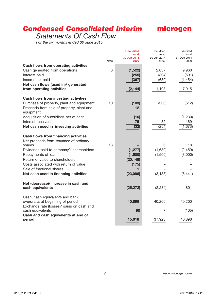# *Condensed Consolidated Interim*

# microgen

# *Statements Of Cash Flow*

*For the six months ended 30 June 2015*

|                                                                |      | <b>Unaudited</b><br>as at<br>30 Jun 2015 | Unaudited<br>as at<br>30 Jun 2014 | Audited<br>as at<br>31 Dec 2014 |
|----------------------------------------------------------------|------|------------------------------------------|-----------------------------------|---------------------------------|
| Cash flows from operating activities                           | Note | £000                                     | £000                              | £000                            |
| Cash generated from operations                                 | 8    | (1,522)                                  | 2,037                             | 9,960                           |
| Interest paid                                                  |      | (255)                                    | (304)                             | (591)                           |
| Income tax paid                                                |      | (367)                                    | (630)                             | (1, 454)                        |
| Net cash flows (used in)/ generated                            |      |                                          |                                   |                                 |
| from operating activities                                      |      | (2, 144)                                 | 1,103                             | 7,915                           |
| Cash flows from investing activities                           |      |                                          |                                   |                                 |
| Purchase of property, plant and equipment                      | 10   | (103)                                    | (336)                             | (612)                           |
| Proceeds from sale of property, plant and<br>equipment         |      | 12                                       |                                   |                                 |
| Acquisition of subsidiary, net of cash                         |      | (16)                                     |                                   | (1,230)                         |
| Interest received                                              |      | 75                                       | 82                                | 169                             |
| Net cash used in investing activities                          |      | (32)                                     | (254)                             | (1, 673)                        |
| Cash flows from financing activities                           |      |                                          |                                   |                                 |
| Net proceeds from issuance of ordinary                         |      |                                          |                                   |                                 |
| shares                                                         | 13   |                                          | 6                                 | 18                              |
| Dividends paid to company's shareholders<br>Repayments of loan |      | (1, 277)<br>(1,500)                      | (1,639)<br>(1,500)                | (2, 459)<br>(3,000)             |
| Return of value to shareholders                                |      | (20, 145)                                |                                   |                                 |
| Costs associated with return of value                          |      | (175)                                    |                                   |                                 |
| Sale of fractional shares                                      |      | 1                                        |                                   |                                 |
| Net cash used in financing activities                          |      | (23,096)                                 | (3, 133)                          | (5, 441)                        |
| Net (decrease)/ increase in cash and                           |      |                                          |                                   |                                 |
| cash equivalents                                               |      | (25, 272)                                | (2, 284)                          | 801                             |
| Cash, cash equivalents and bank                                |      |                                          |                                   |                                 |
| overdrafts at beginning of period                              |      | 40,896                                   | 40,200                            | 40,200                          |
| Exchange rate (losses)/ gains on cash and<br>cash equivalents  |      | (6)                                      | 7                                 | (105)                           |
| Cash and cash equivalents at end of<br>period                  |      | 15,618                                   | 37,923                            | 40,896                          |
|                                                                |      |                                          |                                   |                                 |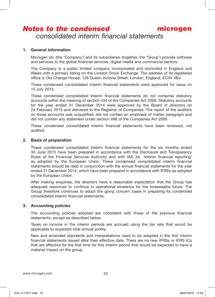#### **1. General information**

Microgen plc (the 'Company') and its subsidiaries (together, the 'Group') provide software and services to the global financial services, digital media and commercial sectors.

The Company is a public limited company incorporated and domiciled in England and Wales with a primary listing on the London Stock Exchange. The address of its registered office is Old Change House, 128 Queen Victoria Street, London, England, EC4V 4BJ.

These condensed consolidated interim financial statements were approved for issue on 15 July 2015.

These condensed consolidated interim financial statements do not comprise statutory accounts within the meaning of section 434 of the Companies Act 2006. Statutory accounts for the year ended 31 December 2014 were approved by the Board of directors on 24 February 2015 and delivered to the Registrar of Companies. The report of the auditors on those accounts was unqualified, did not contain an emphasis of matter paragraph and did not contain any statement under section 498 of the Companies Act 2006.

These condensed consolidated interim financial statements have been reviewed, not audited.

#### **2. Basis of preparation**

These condensed consolidated interim financial statements for the six months ended 30 June 2015 have been prepared in accordance with the Disclosure and Transparency Rules of the Financial Services Authority and with IAS 34, 'Interim financial reporting' as adopted by the European Union. These condensed consolidated interim financial statements should be read in conjunction with the annual financial statements for the year ended 31 December 2014, which have been prepared in accordance with IFRSs as adopted by the European Union.

After making enquiries, the directors have a reasonable expectation that the Group has adequate resources to continue in operational existence for the foreseeable future. The Group therefore continues to adopt the going concern basis in preparing its condensed consolidated interim financial statements.

#### **3. Accounting policies**

The accounting policies adopted are consistent with those of the previous financial statements, except as described below.

Taxes on income in the interim periods are accrued using the tax rate that would be applicable to expected total annual profits.

New and amended standards and interpretations need to be adopted in the first interim financial statements issued after their effective date. There are no new IFRSs or IFRS ICs that are effective for the first time for this interim period that would be expected to have a material impact on the group.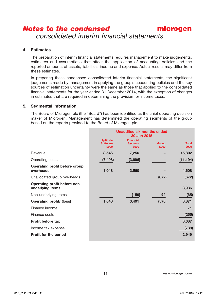# *Notes to the condensed*

*consolidated interim financial statements*

#### **4. Estimates**

The preparation of interim financial statements requires management to make judgements, estimates and assumptions that affect the application of accounting policies and the reported amounts of assets, liabilities, income and expense. Actual results may differ from these estimates.

In preparing these condensed consolidated interim financial statements, the significant judgements made by management in applying the group's accounting policies and the key sources of estimation uncertainty were the same as those that applied to the consolidated financial statements for the year ended 31 December 2014, with the exception of changes in estimates that are required in determining the provision for income taxes.

#### **5. Segmental information**

The Board of Microgen plc (the "Board") has been identified as the chief operating decision maker of Microgen. Management has determined the operating segments of the group based on the reports provided to the Board of Microgen plc.

|                                                  |                                            | <b>Unaudited six months ended</b><br>30 Jun 2015 |                      |                      |
|--------------------------------------------------|--------------------------------------------|--------------------------------------------------|----------------------|----------------------|
|                                                  | <b>Aptitude</b><br><b>Software</b><br>£000 | <b>Financial</b><br><b>Systems</b><br>£000       | <b>Group</b><br>£000 | <b>Total</b><br>£000 |
| Revenue                                          | 8,546                                      | 7,256                                            |                      | 15,802               |
| Operating costs                                  | (7, 498)                                   | (3,696)                                          |                      | (11, 194)            |
| Operating profit before group<br>overheads       | 1,048                                      | 3,560                                            |                      | 4,608                |
| Unallocated group overheads                      |                                            |                                                  | (672)                | (672)                |
| Operating profit before non-<br>underlying items |                                            |                                                  |                      | 3,936                |
| Non-underlying items                             |                                            | (159)                                            | 94                   | (65)                 |
| Operating profit/ (loss)                         | 1,048                                      | 3,401                                            | (578)                | 3,871                |
| Finance income                                   |                                            |                                                  |                      | 71                   |
| Finance costs                                    |                                            |                                                  |                      | (255)                |
| <b>Profit before tax</b>                         |                                            |                                                  |                      | 3,687                |
| Income tax expense                               |                                            |                                                  |                      | (738)                |
| Profit for the period                            |                                            |                                                  |                      | 2,949                |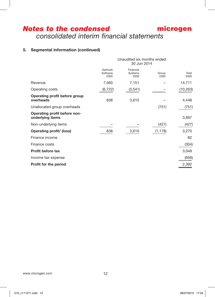# microgen *Notes to the condensed consolidated interim financial statements*

# **5. Segmental information (continued)**

| Aptitude<br>Software<br>£000 | Financial<br>Systems<br>£000 | Group<br>£000 | Total<br>£000                             |
|------------------------------|------------------------------|---------------|-------------------------------------------|
| 7,560                        | 7,151                        |               | 14,711                                    |
| (6, 722)                     | (3,541)                      |               | (10, 263)                                 |
| 838                          | 3,610                        |               | 4,448                                     |
|                              |                              | (751)         | (751)                                     |
|                              |                              |               | 3,697                                     |
|                              |                              | (427)         | (427)                                     |
| 838                          | 3,610                        | (1, 178)      | 3,270                                     |
|                              |                              |               | 82                                        |
|                              |                              |               | (304)                                     |
|                              |                              |               | 3,048                                     |
|                              |                              |               | (656)                                     |
|                              |                              |               | 2,392                                     |
|                              |                              |               | Unaudited six months ended<br>30 Jun 2014 |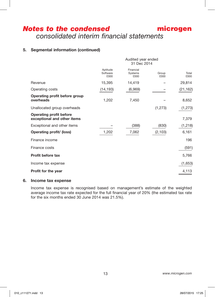# **5. Segmental information (continued)**

| Aptitude<br>Software<br>£000 | Financial<br>Systems<br>£000 | Group<br>£000 | Total<br>£000                     |
|------------------------------|------------------------------|---------------|-----------------------------------|
| 15,395                       | 14,419                       |               | 29,814                            |
| (14, 193)                    | (6,969)                      |               | (21, 162)                         |
| 1,202                        | 7,450                        |               | 8,652                             |
|                              |                              | (1, 273)      | (1, 273)                          |
|                              |                              |               | 7,379                             |
|                              | (388)                        | (830)         | (1,218)                           |
| 1,202                        | 7,062                        | (2, 103)      | 6,161                             |
|                              |                              |               | 196                               |
|                              |                              |               | (591)                             |
|                              |                              |               | 5,766                             |
|                              |                              |               | (1,653)                           |
|                              |                              |               | 4,113                             |
|                              |                              |               | Audited year ended<br>31 Dec 2014 |

#### **6. Income tax expense**

Income tax expense is recognised based on management's estimate of the weighted average income tax rate expected for the full financial year of 20% (the estimated tax rate for the six months ended 30 June 2014 was 21.5%).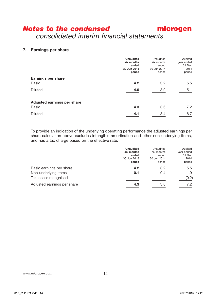# **7. Earnings per share**

| <b>Unaudited</b> | Unaudited                                        | Audited                                          |
|------------------|--------------------------------------------------|--------------------------------------------------|
|                  |                                                  | year ended                                       |
|                  |                                                  | 31 Dec                                           |
|                  |                                                  | 2014                                             |
| pence            | pence                                            | pence                                            |
|                  |                                                  |                                                  |
| 4.2              | 3.2                                              | 5.5                                              |
|                  |                                                  | 5.1                                              |
|                  |                                                  |                                                  |
|                  |                                                  |                                                  |
|                  |                                                  |                                                  |
|                  |                                                  | 7.2                                              |
| 4.1              | 3.4                                              | 6.7                                              |
|                  | six months<br>ended<br>30 Jun 2015<br>4.0<br>4.3 | six months<br>ended<br>30 Jun 2014<br>3.0<br>3.6 |

To provide an indication of the underlying operating performance the adjusted earnings per share calculation above excludes intangible amortisation and other non-underlying items, and has a tax charge based on the effective rate.

|                                                                           | <b>Unaudited</b><br>six months<br>ended<br>30 Jun 2015<br>pence | Unaudited<br>six months<br>ended<br>30 Jun 2014<br>pence | Audited<br>year ended<br>31 Dec<br>2014<br>pence |
|---------------------------------------------------------------------------|-----------------------------------------------------------------|----------------------------------------------------------|--------------------------------------------------|
| Basic earnings per share<br>Non-underlying items<br>Tax losses recognised | 4.2<br>0.1                                                      | 3.2<br>0.4                                               | 5.5<br>1.9<br>(0.2)                              |
| Adjusted earnings per share                                               | 4.3                                                             | 3.6                                                      | 7.2                                              |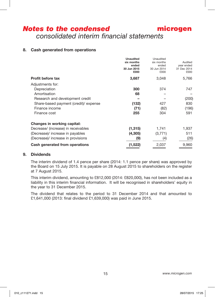### microgen *Notes to the condensed consolidated interim financial statements*

### **8. Cash generated from operations**

|                                       | <b>Unaudited</b><br>six months<br>ended<br>30 Jun 2015 | Unaudited<br>six months<br>ended<br>30 Jun 2014 | Audited<br>year ended<br>31 Dec 2014 |
|---------------------------------------|--------------------------------------------------------|-------------------------------------------------|--------------------------------------|
|                                       | £000                                                   | £000                                            | £000                                 |
| <b>Profit before tax</b>              | 3,687                                                  | 3,048                                           | 5,766                                |
| Adjustments for:                      |                                                        |                                                 |                                      |
| Depreciation                          | 300                                                    | 374                                             | 747                                  |
| Amortisation                          | 68                                                     |                                                 |                                      |
| Research and development credit       |                                                        |                                                 | (200)                                |
| Share-based payment (credit)/ expense | (132)                                                  | 427                                             | 830                                  |
| Finance income                        | (71)                                                   | (82)                                            | (196)                                |
| Finance cost                          | 255                                                    | 304                                             | 591                                  |
| Changes in working capital:           |                                                        |                                                 |                                      |
| Decrease/ (increase) in receivables   | (1, 315)                                               | 1,741                                           | 1,937                                |
| (Decrease)/ increase in payables      | (4, 305)                                               | (3,771)                                         | 511                                  |
| (Decrease)/ increase in provisions    | (9)                                                    | (4)                                             | (26)                                 |
| Cash generated from operations        | (1,522)                                                | 2,037                                           | 9,960                                |

#### **9. Dividends**

The interim dividend of 1.4 pence per share (2014: 1.1 pence per share) was approved by the Board on 15 July 2015. It is payable on 28 August 2015 to shareholders on the register at 7 August 2015.

This interim dividend, amounting to £812,000 (2014: £820,000), has not been included as a liability in this interim financial information. It will be recognised in shareholders' equity in the year to 31 December 2015.

The dividend that relates to the period to 31 December 2014 and that amounted to £1,641,000 (2013: final dividend £1,639,000) was paid in June 2015.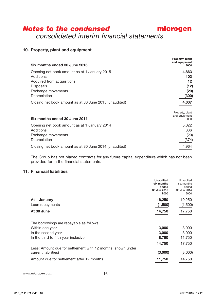# **10. Property, plant and equipment**

| Six months ended 30 June 2015                          | Property, plant<br>and equipment<br>£000 |
|--------------------------------------------------------|------------------------------------------|
| Opening net book amount as at 1 January 2015           | 4,863                                    |
| Additions                                              | 103                                      |
| Acquired from acquisitions                             | 12                                       |
| <b>Disposals</b>                                       | (12)                                     |
| Exchange movements                                     | (29)                                     |
| Depreciation                                           | (300)                                    |
| Closing net book amount as at 30 June 2015 (unaudited) | 4,637                                    |
| Six months ended 30 June 2014                          | Property, plant<br>and equipment<br>£000 |
| Opening net book amount as at 1 January 2014           | 5,022                                    |
| Additions                                              | 336                                      |
| Exchange movements                                     | (20)                                     |
| Depreciation                                           | (374)                                    |
| Closing net book amount as at 30 June 2014 (unaudited) | 4,964                                    |

The Group has not placed contracts for any future capital expenditure which has not been provided for in the financial statements.

### **11. Financial liabilities**

|                                                                                     | Unaudited<br>six months<br>ended<br>30 Jun 2015<br>£000 | Unaudited<br>six months<br>ended<br>30 Jun 2014<br>£000 |
|-------------------------------------------------------------------------------------|---------------------------------------------------------|---------------------------------------------------------|
| At 1 January                                                                        | 16,250                                                  | 19,250                                                  |
| Loan repayments                                                                     | (1,500)                                                 | (1,500)                                                 |
| At 30 June                                                                          | 14,750                                                  | 17,750                                                  |
|                                                                                     |                                                         |                                                         |
| The borrowings are repayable as follows:                                            |                                                         |                                                         |
| Within one year                                                                     | 3,000                                                   | 3,000                                                   |
| In the second year                                                                  | 3,000                                                   | 3,000                                                   |
| In the third to fifth year inclusive                                                | 8,750                                                   | 11,750                                                  |
|                                                                                     | 14,750                                                  | 17,750                                                  |
| Less: Amount due for settlement with 12 months (shown under<br>current liabilities) | (3,000)                                                 | (3,000)                                                 |
| Amount due for settlement after 12 months                                           | 11,750                                                  | 14,750                                                  |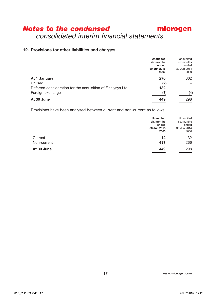# **12. Provisions for other liabilities and charges**

|                                                             | <b>Unaudited</b> | Unaudited   |
|-------------------------------------------------------------|------------------|-------------|
|                                                             | six months       | six months  |
|                                                             | ended            | ended       |
|                                                             | 30 Jun 2015      | 30 Jun 2014 |
|                                                             | £000             | £000        |
| At 1 January                                                | 276              | 302         |
| Utilised                                                    | (2)              |             |
| Deferred consideration for the acquisition of Finalysys Ltd | 182              |             |
| Foreign exchange                                            | (7)              | (4)         |
| At 30 June                                                  | 449              | 298         |

Provisions have been analysed between current and non-current as follows:

|             | <b>Unaudited</b><br>six months<br>ended<br>30 Jun 2015<br>£000 | Unaudited<br>six months<br>ended<br>30 Jun 2014<br>£000 |
|-------------|----------------------------------------------------------------|---------------------------------------------------------|
| Current     | 12                                                             | 32                                                      |
| Non-current | 437                                                            | 266                                                     |
| At 30 June  | 449                                                            | 298                                                     |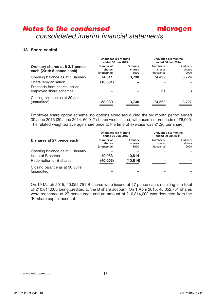### **13. Share capital**

| Ordinary shares at 6 3/7 pence<br>each (2014: 5 pence each)                              | Unaudited six months<br>ended 30 Jun 2015 |                            | Unaudited six months<br>ended 30 Jun 2014 |                            |
|------------------------------------------------------------------------------------------|-------------------------------------------|----------------------------|-------------------------------------------|----------------------------|
|                                                                                          | Number of<br>shares<br>(thousands)        | Ordinary<br>shares<br>£000 | Number of<br>shares<br>(thousands)        | Ordinary<br>shares<br>£000 |
| Opening balance as at 1 January<br>Share reorganisation<br>Proceeds from shares issued - | 74.611<br>(16,581)                        | 3,730                      | 74.499                                    | 3.724                      |
| employee share schemes                                                                   |                                           |                            | 61                                        | 3                          |
| Closing balance as at 30 June<br>(unaudited)                                             | 58,030                                    | 3,730                      | 74,560                                    | 3.727                      |

Employee share option scheme: no options exercised during the six month period ended 30 June 2015 (30 June 2014: 60,917 shares were issued, with exercise proceeds of £6,000. The related weighted average share price at the time of exercise was £1.20 per share.)

|                                              | Unaudited six months<br>ended 30 Jun 2015 |                            | Unaudited six months<br>ended 30 Jun 2014 |                            |
|----------------------------------------------|-------------------------------------------|----------------------------|-------------------------------------------|----------------------------|
| B shares at 27 pence each                    | Number of<br>shares<br>(thousands)        | Ordinary<br>shares<br>£000 | Number of<br>shares<br>(thousands)        | Ordinary<br>shares<br>£000 |
| Opening balance as at 1 January              |                                           |                            |                                           |                            |
| Issue of B shares                            | 40.053                                    | 10.814                     |                                           |                            |
| Redemption of B shares                       | (40, 053)                                 | (10, 814)                  |                                           |                            |
| Closing balance as at 30 June<br>(unaudited) |                                           |                            |                                           |                            |

On 19 March 2015, 40,052,751 B shares were issued at 27 pence each, resulting in a total of £10,814,000 being credited to the B share account. On 1 April 2015, 40,052,751 shares were redeemed at 27 pence each and an amount of £10,814,000 was deducted from the 'B' share capital account.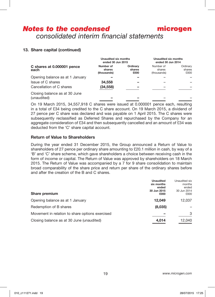# microgen *Notes to the condensed consolidated interim financial statements*

# **13. Share capital (continued)**

|                                                      | Unaudited six months<br>ended 30 Jun 2015 |                            | Unaudited six months<br>ended 30 Jun 2014 |                            |
|------------------------------------------------------|-------------------------------------------|----------------------------|-------------------------------------------|----------------------------|
| C shares at 0.000001 pence<br>each                   | Number of<br>shares<br>(thousands)        | Ordinary<br>shares<br>£000 | Number of<br>shares<br>(thousands)        | Ordinary<br>shares<br>£000 |
| Opening balance as at 1 January<br>Issue of C shares | 34,558                                    |                            |                                           |                            |
| Cancellation of C shares                             | (34, 558)                                 |                            |                                           |                            |
| Closing balance as at 30 June<br>(unaudited)         |                                           |                            |                                           |                            |

On 19 March 2015, 34,557,918 C shares were issued at 0.000001 pence each, resulting in a total of £34 being credited to the C share account. On 19 March 2015, a dividend of 27 pence per C share was declared and was payable on 1 April 2015. The C shares were subsequently reclassified as Deferred Shares and repurchased by the Company for an aggregate consideration of £34 and then subsequently cancelled and an amount of £34 was deducted from the 'C' share capital account.

### **Return of Value to Shareholders**

During the year ended 31 December 2015, the Group announced a Return of Value to shareholders of 27 pence per ordinary share amounting to £20.1 million in cash, by way of a 'B' and 'C' share scheme, which gave shareholders a choice between receiving cash in the form of income or capital. The Return of Value was approved by shareholders on 18 March 2015. The Return of Value was accompanied by a 7 for 9 share consolidation to maintain broad comparability of the share price and return per share of the ordinary shares before and after the creation of the B and C shares.

| Share premium                                   | <b>Unaudited</b><br>six months<br>ended<br>30 Jun 2015<br>£000 | Unaudited six<br>months<br>ended<br>30 Jun 2014<br>£000 |
|-------------------------------------------------|----------------------------------------------------------------|---------------------------------------------------------|
| Opening balance as at 1 January                 | 12.049                                                         | 12.037                                                  |
| Redemption of B shares                          | (8,035)                                                        |                                                         |
| Movement in relation to share options exercised |                                                                | 3                                                       |
| Closing balance as at 30 June (unaudited)       | 4,014                                                          | 12.040                                                  |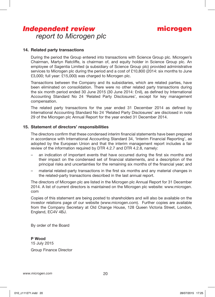# *Independent review report to Microgen plc*

#### **14. Related party transactions**

During the period the Group entered into transactions with Science Group plc. Microgen's Chairman, Martyn Ratcliffe, is chairman of, and equity holder in Science Group plc. An employee of Sagentia Limited (a subsidiary of Science Group plc) provided administrative services to Microgen plc during the period and a cost of £10,800 (2014; six months to June £3,000; full year: £15,000) was charged to Microgen plc.

Transactions between the Company and its subsidiaries, which are related parties, have been eliminated on consolidation. There were no other related party transactions during the six month period ended 30 June 2015 (30 June 2014: £nil), as defined by International Accounting Standard No 24 'Related Party Disclosures', except for key management compensation.

The related party transactions for the year ended 31 December 2014 as defined by International Accounting Standard No 24 'Related Party Disclosures' are disclosed in note 29 of the Microgen plc Annual Report for the year ended 31 December 2014.

#### **15. Statement of directors' responsibilities**

The directors confirm that these condensed interim financial statements have been prepared in accordance with International Accounting Standard 34, 'Interim Financial Reporting', as adopted by the European Union and that the interim management report includes a fair review of the information required by DTR 4.2.7 and DTR 4.2.8, namely:

- an indication of important events that have occurred during the first six months and their impact on the condensed set of financial statements, and a description of the principal risks and uncertainties for the remaining six months of the financial year; and
- material related-party transactions in the first six months and any material changes in the related-party transactions described in the last annual report.

The directors of Microgen plc are listed in the Microgen plc Annual Report for 31 December 2014. A list of current directors is maintained on the Microgen plc website: www.microgen. com

Copies of this statement are being posted to shareholders and will also be available on the investor relations page of our website (www.microgen.com). Further copies are available from the Company Secretary at Old Change House, 128 Queen Victoria Street, London, England, EC4V 4BJ.

By order of the Board

**P Wood** 15 July 2015 Group Finance Director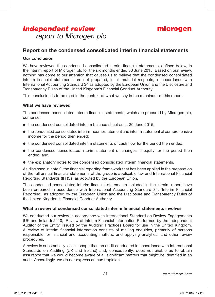# *Independent review report to Microgen plc*



# **Report on the condensed consolidated interim financial statements**

#### **Our conclusion**

We have reviewed the condensed consolidated interim financial statements, defined below, in the interim report of Microgen plc for the six months ended 30 June 2015. Based on our review, nothing has come to our attention that causes us to believe that the condensed consolidated interim financial statements are not prepared, in all material respects, in accordance with International Accounting Standard 34 as adopted by the European Union and the Disclosure and Transparency Rules of the United Kingdom's Financial Conduct Authority.

This conclusion is to be read in the context of what we say in the remainder of this report.

#### **What we have reviewed**

The condensed consolidated interim financial statements, which are prepared by Microgen plc, comprise:

- $\bullet$  the condensed consolidated interim balance sheet as at 30 June 2015;
- $\bullet$  the condensed consolidated interim income statement and interim statement of comprehensive income for the period then ended;
- $\bullet$  the condensed consolidated interim statements of cash flow for the period then ended;
- $\bullet$  the condensed consolidated interim statement of changes in equity for the period then ended; and
- $\bullet$  the explanatory notes to the condensed consolidated interim financial statements.

As disclosed in note 2, the financial reporting framework that has been applied in the preparation of the full annual financial statements of the group is applicable law and International Financial Reporting Standards (IFRSs) as adopted by the European Union.

The condensed consolidated interim financial statements included in the interim report have been prepared in accordance with International Accounting Standard 34, 'Interim Financial Reporting', as adopted by the European Union and the Disclosure and Transparency Rules of the United Kingdom's Financial Conduct Authority.

#### **What a review of condensed consolidated interim financial statements involves**

We conducted our review in accordance with International Standard on Review Engagements (UK and Ireland) 2410, 'Review of Interim Financial Information Performed by the Independent Auditor of the Entity' issued by the Auditing Practices Board for use in the United Kingdom. A review of interim financial information consists of making enquiries, primarily of persons responsible for financial and accounting matters, and applying analytical and other review procedures.

A review is substantially less in scope than an audit conducted in accordance with International Standards on Auditing (UK and Ireland) and, consequently, does not enable us to obtain assurance that we would become aware of all significant matters that might be identified in an audit. Accordingly, we do not express an audit opinion.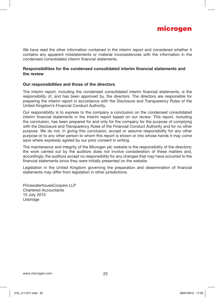

We have read the other information contained in the interim report and considered whether it contains any apparent misstatements or material inconsistencies with the information in the condensed consolidated interim financial statements.

#### **Responsibilities for the condensed consolidated interim financial statements and the review**

#### **Our responsibilities and those of the directors**

The interim report, including the condensed consolidated interim financial statements, is the responsibility of, and has been approved by, the directors. The directors are responsible for preparing the interim report in accordance with the Disclosure and Transparency Rules of the United Kingdom's Financial Conduct Authority.

Our responsibility is to express to the company a conclusion on the condensed consolidated interim financial statements in the interim report based on our review. This report, including the conclusion, has been prepared for and only for the company for the purpose of complying with the Disclosure and Transparency Rules of the Financial Conduct Authority and for no other purpose. We do not, in giving this conclusion, accept or assume responsibility for any other purpose or to any other person to whom this report is shown or into whose hands it may come save where expressly agreed by our prior consent in writing.

The maintenance and integrity of the Microgen plc website is the responsibility of the directors; the work carried out by the auditors does not involve consideration of these matters and, accordingly, the auditors accept no responsibility for any changes that may have occurred to the financial statements since they were initially presented on the website.

Legislation in the United Kingdom governing the preparation and dissemination of financial statements may differ from legislation in other jurisdictions.

PricewaterhouseCoopers LLP Chartered Accountants 15 July 2015 Uxbridge